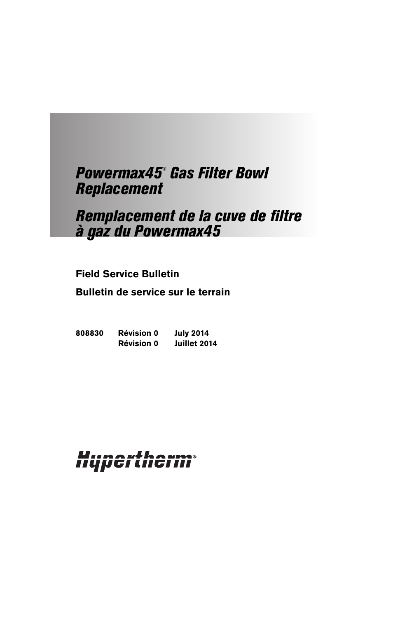# Powermax45® Gas Filter Bowl Replacement

# Remplacement de la cuve de filtre à gaz du Powermax45

# **Field Service Bulletin**

**Bulletin de service sur le terrain**

**808830 Révision 0 July 2014 Révision 0 Juillet 2014**

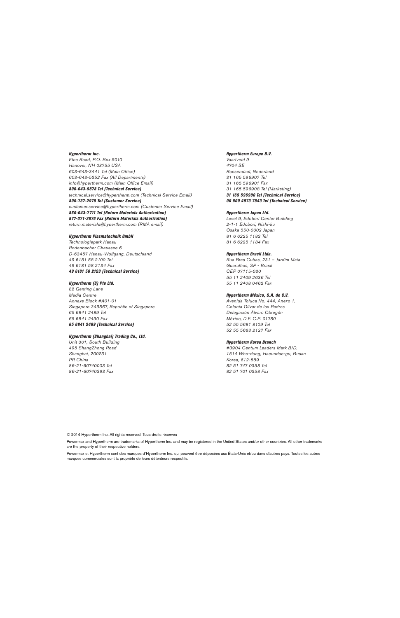Hypertherm Inc. Etna Road, P.O. Box 5010 Hanover, NH 03755 USA 603-643-3441 Tel (Main Office) 603-643-5352 Fax (All Departments) info@hypertherm.com (Main Office Email) 800-643-9878 Tel (Technical Service) technical.service@hypertherm.com (Technical Service Email)

800-737-2978 Tel (Customer Service) customer.service@hypertherm.com (Customer Service Email) 866-643-7711 Tel (Return Materials Authorization) 877-371-2876 Fax (Return Materials Authorization) return.materials@hypertherm.com (RMA email)

#### Hypertherm Plasmatechnik GmbH

Technologiepark Hanau Rodenbacher Chaussee 6 D-63457 Hanau-Wolfgang, Deutschland 49 6181 58 2100 Tel 49 6181 58 2134 Fax 49 6181 58 2123 (Technical Service)

#### Hypertherm (S) Pte Ltd.

82 Genting Lane Media Centre Annexe Block #A01-01 Singapore 349567, Republic of Singapore 65 6841 2489 Tel 65 6841 2490 Fax 65 6841 2489 (Technical Service)

#### Hypertherm (Shanghai) Trading Co., Ltd.

Unit 301, South Building 495 ShangZhong Road Shanghai, 200231 PR China 86-21-60740003 Tel 86-21-60740393 Fax

#### Hypertherm Europe B.V.

Vaartveld 9 4704 SE Roosendaal, Nederland 31 165 596907 Tel 31 165 596901 Fax 31 165 596908 Tel (Marketing) 31 165 596900 Tel (Technical Service) 00 800 4973 7843 Tel (Technical Service)

#### Hypertherm Japan Ltd.

Level 9, Edobori Center Building 2-1-1 Edobori, Nishi-ku Osaka 550-0002 Japan 81 6 6225 1183 Tel 81 6 6225 1184 Fax

#### Hypertherm Brasil Ltda.

Rua Bras Cubas, 231 – Jardim Maia Guarulhos, SP - Brasil CEP 07115-030 55 11 2409 2636 Tel 55 11 2408 0462 Fax

#### Hypertherm México, S.A. de C.V.

Avenida Toluca No. 444, Anexo 1, Colonia Olivar de los Padres Delegación Álvaro Obregón México, D.F. C.P. 01780 52 55 5681 8109 Tel 52 55 5683 2127 Fax

#### Hypertherm Korea Branch

#3904 Centum Leaders Mark B/D, 1514 Woo-dong, Haeundae-gu, Busan Korea, 612-889 82 51 747 0358 Tel 82 51 701 0358 Fax

© 2014 Hypertherm Inc. All rights reserved. Tous droits réservés

Powermax and Hypertherm are trademarks of Hypertherm Inc. and may be registered in the United States and/or other countries. All other trademarks are the property of their respective holders.

Powermax et Hypertherm sont des marques d'Hypertherm Inc. qui peuvent être déposées aux États-Unis et/ou dans d'autres pays. Toutes les autres marques commerciales sont la propriété de leurs détenteurs respectifs.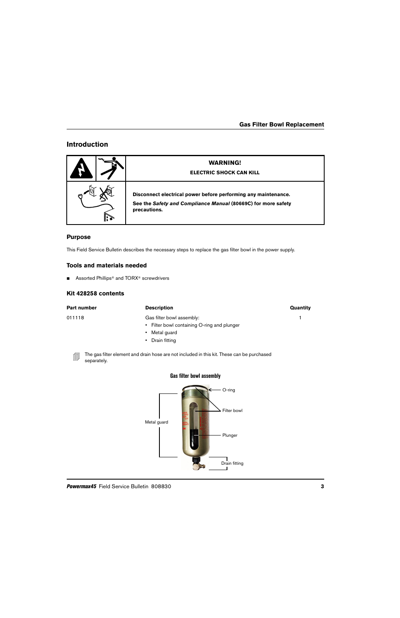# **Introduction**

| <b>WARNING!</b><br><b>ELECTRIC SHOCK CAN KILL</b>                                                                                               |
|-------------------------------------------------------------------------------------------------------------------------------------------------|
| Disconnect electrical power before performing any maintenance.<br>See the Safety and Compliance Manual (80669C) for more safety<br>precautions. |

#### **Purpose**

This Field Service Bulletin describes the necessary steps to replace the gas filter bowl in the power supply.

## **Tools and materials needed**

■ Assorted Phillips<sup>®</sup> and TORX<sup>®</sup> screwdrivers

#### **Kit 428258 contents**

separately.

| Part number             | <b>Description</b>                                                                         | Quantity |
|-------------------------|--------------------------------------------------------------------------------------------|----------|
| 011118                  | Gas filter bowl assembly:                                                                  |          |
|                         | • Filter bowl containing O-ring and plunger                                                |          |
|                         | Metal guard<br>$\mathbf{H}$ .                                                              |          |
|                         | • Drain fitting                                                                            |          |
| <b>QN</b><br>agnoratoly | The gas filter element and drain hose are not included in this kit. These can be purchased |          |

**Gas filter bowl assembly**

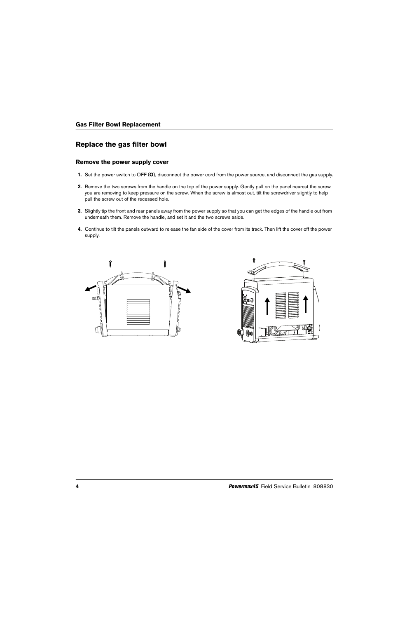# **Replace the gas filter bowl**

#### **Remove the power supply cover**

- 1. Set the power switch to OFF (**O**), disconnect the power cord from the power source, and disconnect the gas supply.
- 2. Remove the two screws from the handle on the top of the power supply. Gently pull on the panel nearest the screw you are removing to keep pressure on the screw. When the screw is almost out, tilt the screwdriver slightly to help pull the screw out of the recessed hole.
- 3. Slightly tip the front and rear panels away from the power supply so that you can get the edges of the handle out from underneath them. Remove the handle, and set it and the two screws aside.
- 4. Continue to tilt the panels outward to release the fan side of the cover from its track. Then lift the cover off the power supply.



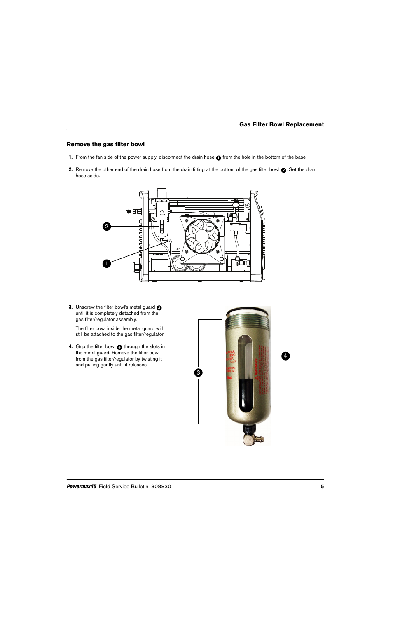## **Remove the gas filter bowl**

- 1. From the fan side of the power supply, disconnect the drain hose  $\bigodot$  from the hole in the bottom of the base.
- 2. Remove the other end of the drain hose from the drain fitting at the bottom of the gas filter bowl  $\bigcirc$ . Set the drain hose aside.



3. Unscrew the filter bowl's metal guard **3** until it is completely detached from the gas filter/regulator assembly.

The filter bowl inside the metal guard will still be attached to the gas filter/regulator.

4. Grip the filter bowl **4** through the slots in the metal guard. Remove the filter bowl from the gas filter/regulator by twisting it and pulling gently until it releases.

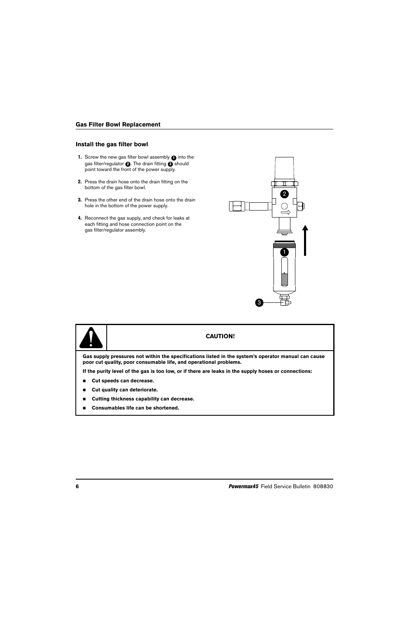#### **Install the gas filter bowl**

- 1. Screw the new gas filter bowl assembly  $\bigcirc$  into the gas filter/regulator **@**. The drain fitting **@** should point toward the front of the power supply.
- 2. Press the drain hose onto the drain fitting on the bottom of the gas filter bowl.
- **3.** Press the other end of the drain hose onto the drain hole in the bottom of the power supply.
- 4. Reconnect the gas supply, and check for leaks at each fitting and hose connection point on the gas filter/regulator assembly.





**If the purity level of the gas is too low, or if there are leaks in the supply hoses or connections:**

- **Cut speeds can decrease.**
- **Cut quality can deteriorate.**
- **Cutting thickness capability can decrease.**
- **Consumables life can be shortened.**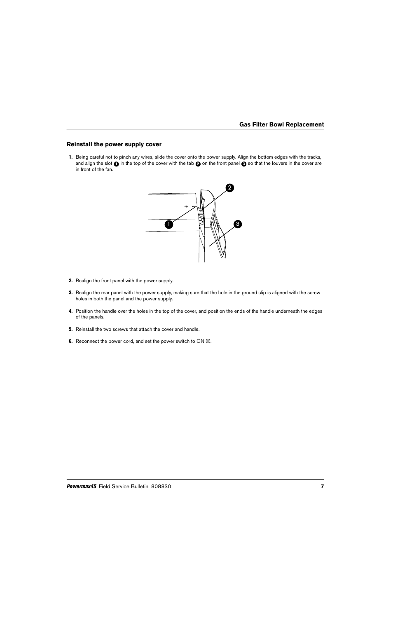## **Reinstall the power supply cover**

1. Being careful not to pinch any wires, slide the cover onto the power supply. Align the bottom edges with the tracks, and align the slot  $\bigcirc$  in the top of the cover with the tab  $\bigcirc$  on the front panel  $\bigcirc$  so that the louvers in the cover are in front of the fan.



- 2. Realign the front panel with the power supply.
- **3.** Realign the rear panel with the power supply, making sure that the hole in the ground clip is aligned with the screw holes in both the panel and the power supply.
- 4. Position the handle over the holes in the top of the cover, and position the ends of the handle underneath the edges of the panels.
- **5.** Reinstall the two screws that attach the cover and handle.
- 6. Reconnect the power cord, and set the power switch to ON (**I**).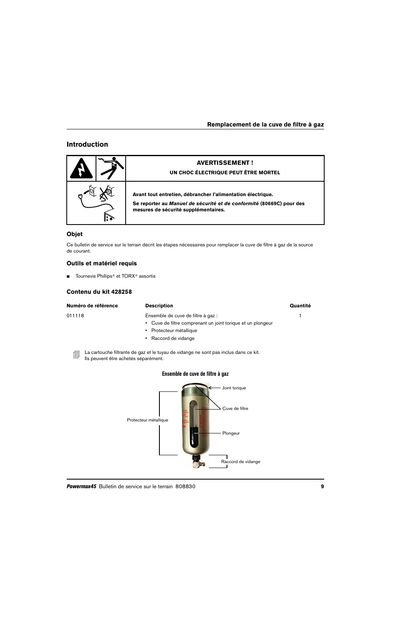# **Introduction**

| <b>AVERTISSEMENT!</b><br>UN CHOC ÉLECTRIQUE PEUT ÊTRE MORTEL                                                                                                                |
|-----------------------------------------------------------------------------------------------------------------------------------------------------------------------------|
| Avant tout entretien, débrancher l'alimentation électrique.<br>Se reporter au Manuel de sécurité et de conformité (80669C) pour des<br>mesures de sécurité supplémentaires. |

## **Objet**

Ce bulletin de service sur le terrain décrit les étapes nécessaires pour remplacer la cuve de filtre à gaz de la source de courant.

# **Outils et matériel requis**

■ Tournevis Phillips<sup>®</sup> et TORX<sup>®</sup> assortis

## **Contenu du kit 428258**

| Numéro de référence                       | <b>Description</b>                                                                                                                             | Quantité |
|-------------------------------------------|------------------------------------------------------------------------------------------------------------------------------------------------|----------|
| 011118                                    | Ensemble de cuve de filtre à gaz :<br>Cuve de filtre comprenant un joint torique et un plongeur<br>Protecteur métallique<br>Raccord de vidange |          |
| 創<br>Ils peuvent être achetés séparément. | La cartouche filtrante de gaz et le tuyau de vidange ne sont pas inclus dans ce kit.                                                           |          |
|                                           | Ensemble de cuve de filtre à gaz                                                                                                               |          |
|                                           | Joint torique<br>Cuve de filtre                                                                                                                |          |

Plongeur

٦

Raccord de vidange

Protecteur métallique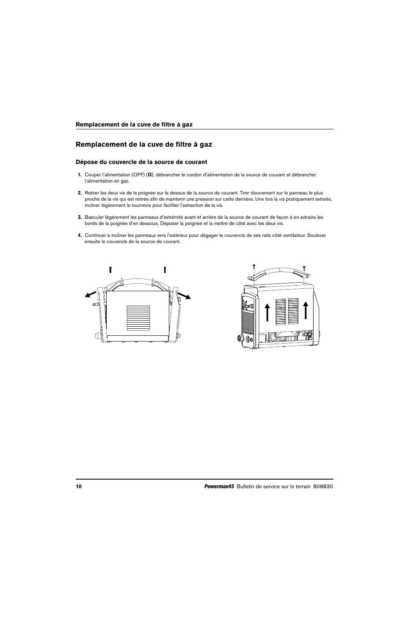# **Remplacement de la cuve de filtre à gaz**

#### **Dépose du couvercle de la source de courant**

- 1. Couper l'alimentation (OFF) (**O**), débrancher le cordon d'alimentation de la source de courant et débrancher l'alimentation en gaz.
- 2. Retirer les deux vis de la poignée sur le dessus de la source de courant. Tirer doucement sur le panneau le plus proche de la vis qui est retirée afin de maintenir une pression sur cette dernière. Une fois la vis pratiquement extraite, incliner légèrement le tournevis pour faciliter l'extraction de la vis.
- 3. Basculer légèrement les panneaux d'extrémité avant et arrière de la source de courant de façon à en extraire les bords de la poignée d'en dessous. Déposer la poignée et la mettre de côté avec les deux vis.
- 4. Continuer à incliner les panneaux vers l'extérieur pour dégager le couvercle de ses rails côté ventilateur. Soulever ensuite le couvercle de la source de courant.



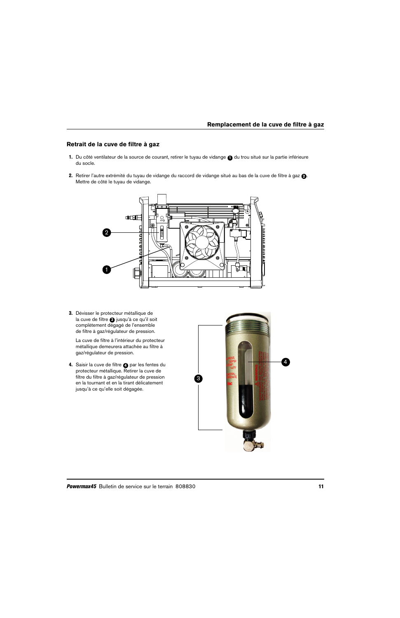## **Retrait de la cuve de filtre à gaz**

- 1. Du côté ventilateur de la source de courant, retirer le tuyau de vidange @ du trou situé sur la partie inférieure du socle.
- 2. Retirer l'autre extrémité du tuyau de vidange du raccord de vidange situé au bas de la cuve de filtre à gaz **@**. Mettre de côté le tuyau de vidange.



3. Dévisser le protecteur métallique de la cuve de filtre **3** jusqu'à ce qu'il soit complètement dégagé de l'ensemble de filtre à gaz/régulateur de pression.

La cuve de filtre à l'intérieur du protecteur métallique demeurera attachée au filtre à gaz/régulateur de pression.

4. Saisir la cuve de filtre **@** par les fentes du protecteur métallique. Retirer la cuve de filtre du filtre à gaz/régulateur de pression en la tournant et en la tirant délicatement jusqu'à ce qu'elle soit dégagée.

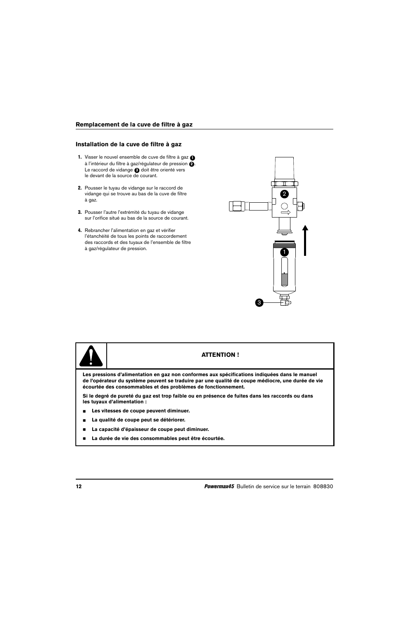#### **Installation de la cuve de filtre à gaz**

- 1. Visser le nouvel ensemble de cuve de filtre à gaz **1** à l'intérieur du filtre à gaz/régulateur de pression **@**. Le raccord de vidange a doit être orienté vers le devant de la source de courant.
- 2. Pousser le tuyau de vidange sur le raccord de vidange qui se trouve au bas de la cuve de filtre à gaz.
- 3. Pousser l'autre l'extrémité du tuyau de vidange sur l'orifice situé au bas de la source de courant.
- 4. Rebrancher l'alimentation en gaz et vérifier l'étanchéité de tous les points de raccordement des raccords et des tuyaux de l'ensemble de filtre à gaz/régulateur de pression.





## **ATTENTION !**

**Les pressions d'alimentation en gaz non conformes aux spécifications indiquées dans le manuel de l'opérateur du système peuvent se traduire par une qualité de coupe médiocre, une durée de vie écourtée des consommables et des problèmes de fonctionnement.**

**Si le degré de pureté du gaz est trop faible ou en présence de fuites dans les raccords ou dans les tuyaux d'alimentation :**

- **Les vitesses de coupe peuvent diminuer.**
- **La qualité de coupe peut se détériorer.**
- **La capacité d'épaisseur de coupe peut diminuer.**
- **La durée de vie des consommables peut être écourtée.**